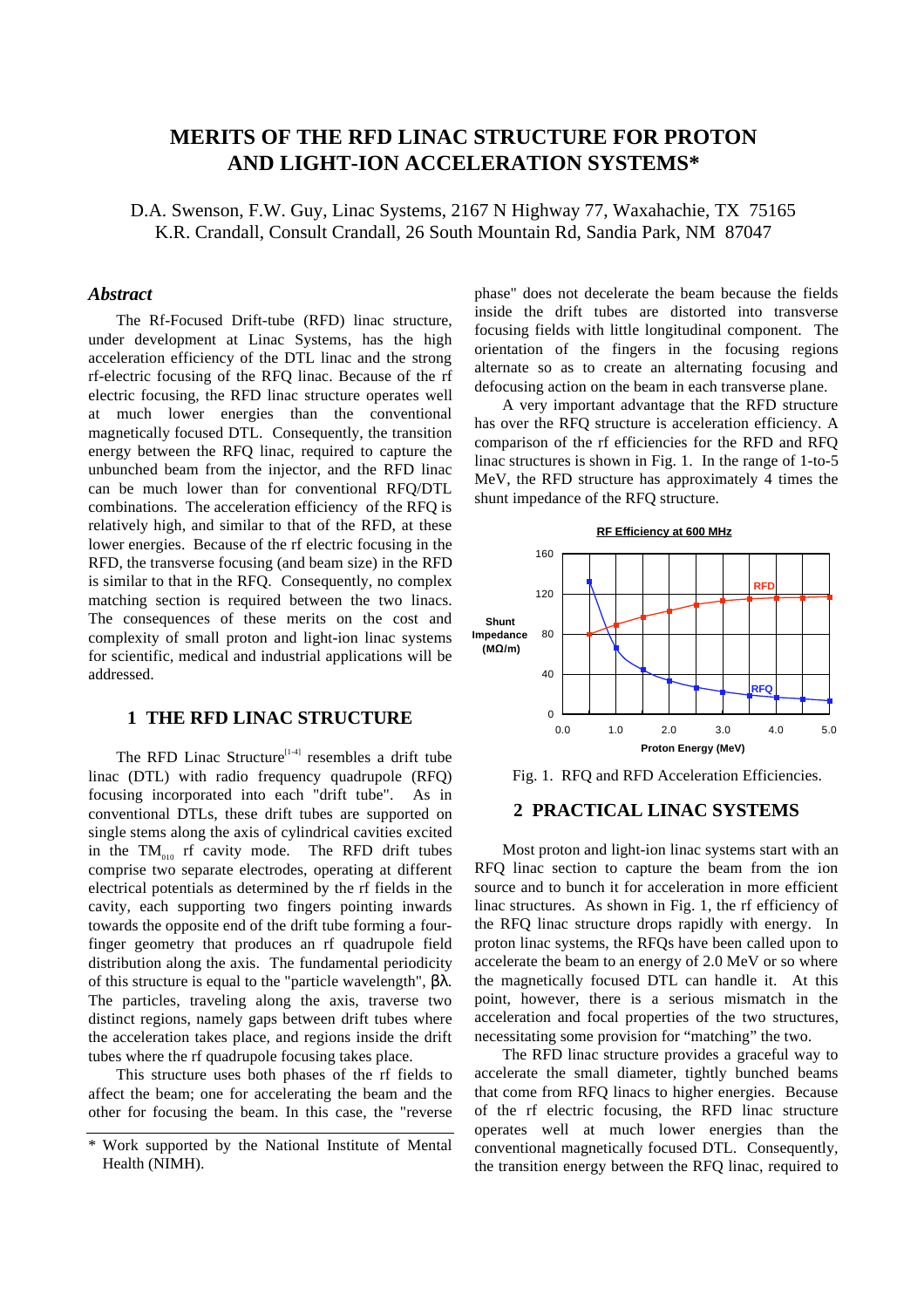# **MERITS OF THE RFD LINAC STRUCTURE FOR PROTON AND LIGHT-ION ACCELERATION SYSTEMS\***

D.A. Swenson, F.W. Guy, Linac Systems, 2167 N Highway 77, Waxahachie, TX 75165 K.R. Crandall, Consult Crandall, 26 South Mountain Rd, Sandia Park, NM 87047

# *Abstract*

The Rf-Focused Drift-tube (RFD) linac structure, under development at Linac Systems, has the high acceleration efficiency of the DTL linac and the strong rf-electric focusing of the RFQ linac. Because of the rf electric focusing, the RFD linac structure operates well at much lower energies than the conventional magnetically focused DTL. Consequently, the transition energy between the RFQ linac, required to capture the unbunched beam from the injector, and the RFD linac can be much lower than for conventional RFQ/DTL combinations. The acceleration efficiency of the RFQ is relatively high, and similar to that of the RFD, at these lower energies. Because of the rf electric focusing in the RFD, the transverse focusing (and beam size) in the RFD is similar to that in the RFQ. Consequently, no complex matching section is required between the two linacs. The consequences of these merits on the cost and complexity of small proton and light-ion linac systems for scientific, medical and industrial applications will be addressed.

# **1 THE RFD LINAC STRUCTURE**

The RFD Linac Structure<sup>[1-4]</sup> resembles a drift tube linac (DTL) with radio frequency quadrupole (RFQ) focusing incorporated into each "drift tube". As in conventional DTLs, these drift tubes are supported on single stems along the axis of cylindrical cavities excited in the  $TM_{010}$  rf cavity mode. The RFD drift tubes comprise two separate electrodes, operating at different electrical potentials as determined by the rf fields in the cavity, each supporting two fingers pointing inwards towards the opposite end of the drift tube forming a fourfinger geometry that produces an rf quadrupole field distribution along the axis. The fundamental periodicity of this structure is equal to the "particle wavelength", βλ. The particles, traveling along the axis, traverse two distinct regions, namely gaps between drift tubes where the acceleration takes place, and regions inside the drift tubes where the rf quadrupole focusing takes place.

This structure uses both phases of the rf fields to affect the beam; one for accelerating the beam and the other for focusing the beam. In this case, the "reverse

phase" does not decelerate the beam because the fields inside the drift tubes are distorted into transverse focusing fields with little longitudinal component. The orientation of the fingers in the focusing regions alternate so as to create an alternating focusing and defocusing action on the beam in each transverse plane.

A very important advantage that the RFD structure has over the RFQ structure is acceleration efficiency. A comparison of the rf efficiencies for the RFD and RFQ linac structures is shown in Fig. 1. In the range of 1-to-5 MeV, the RFD structure has approximately 4 times the shunt impedance of the RFQ structure.



Fig. 1. RFQ and RFD Acceleration Efficiencies.

# **2 PRACTICAL LINAC SYSTEMS**

Most proton and light-ion linac systems start with an RFQ linac section to capture the beam from the ion source and to bunch it for acceleration in more efficient linac structures. As shown in Fig. 1, the rf efficiency of the RFQ linac structure drops rapidly with energy. In proton linac systems, the RFQs have been called upon to accelerate the beam to an energy of 2.0 MeV or so where the magnetically focused DTL can handle it. At this point, however, there is a serious mismatch in the acceleration and focal properties of the two structures, necessitating some provision for "matching" the two.

The RFD linac structure provides a graceful way to accelerate the small diameter, tightly bunched beams that come from RFQ linacs to higher energies. Because of the rf electric focusing, the RFD linac structure operates well at much lower energies than the conventional magnetically focused DTL. Consequently, the transition energy between the RFQ linac, required to

<sup>\*</sup> Work supported by the National Institute of Mental Health (NIMH).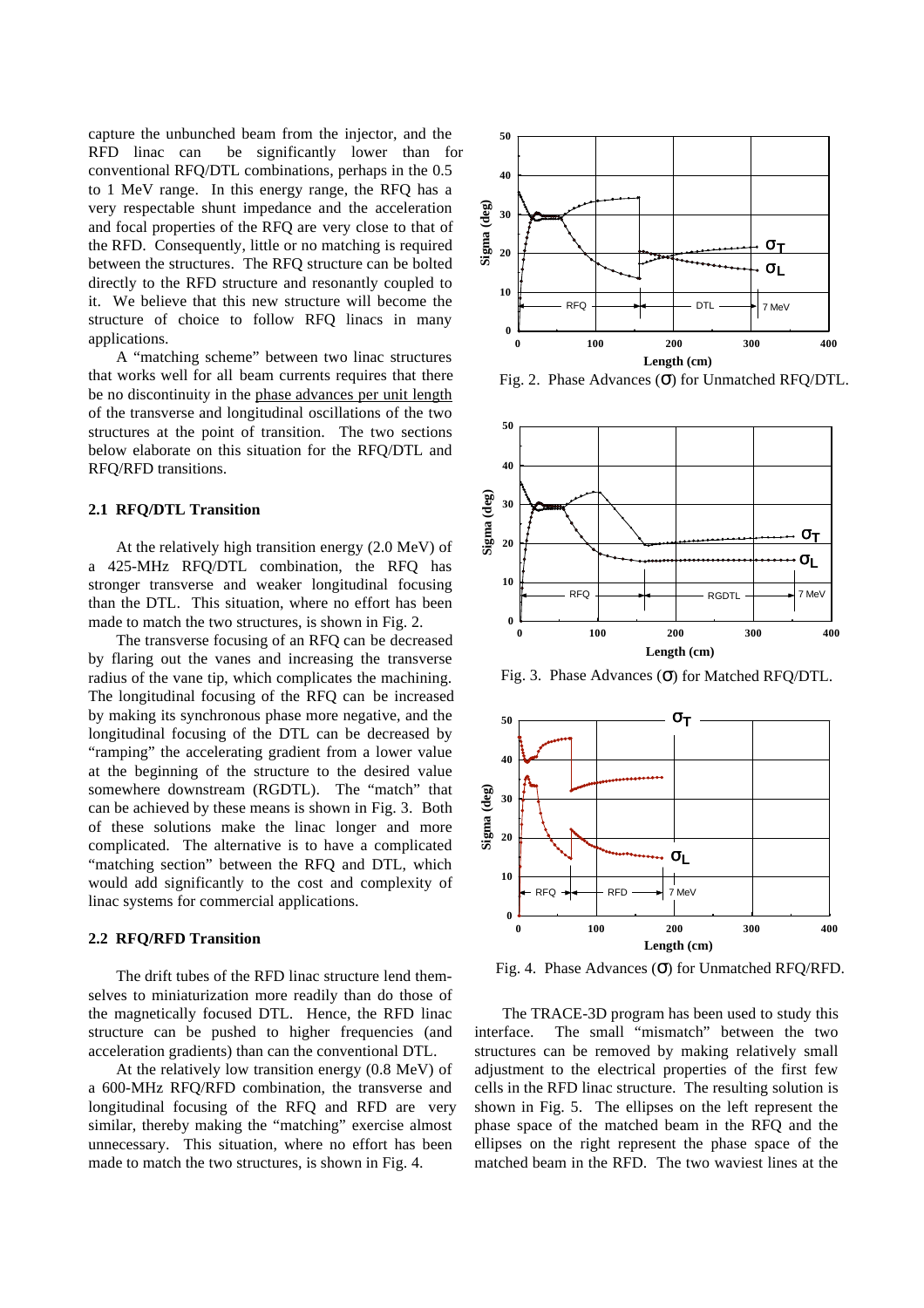capture the unbunched beam from the injector, and the RFD linac can be significantly lower than for conventional RFQ/DTL combinations, perhaps in the 0.5 to 1 MeV range. In this energy range, the RFQ has a very respectable shunt impedance and the acceleration and focal properties of the RFQ are very close to that of the RFD. Consequently, little or no matching is required between the structures. The RFQ structure can be bolted directly to the RFD structure and resonantly coupled to it. We believe that this new structure will become the structure of choice to follow RFQ linacs in many applications.

A "matching scheme" between two linac structures that works well for all beam currents requires that there be no discontinuity in the phase advances per unit length of the transverse and longitudinal oscillations of the two structures at the point of transition. The two sections below elaborate on this situation for the RFQ/DTL and RFQ/RFD transitions.

#### **2.1 RFQ/DTL Transition**

At the relatively high transition energy (2.0 MeV) of a 425-MHz RFQ/DTL combination, the RFQ has stronger transverse and weaker longitudinal focusing than the DTL. This situation, where no effort has been made to match the two structures, is shown in Fig. 2.

The transverse focusing of an RFQ can be decreased by flaring out the vanes and increasing the transverse radius of the vane tip, which complicates the machining. The longitudinal focusing of the RFQ can be increased by making its synchronous phase more negative, and the longitudinal focusing of the DTL can be decreased by "ramping" the accelerating gradient from a lower value at the beginning of the structure to the desired value somewhere downstream (RGDTL). The "match" that can be achieved by these means is shown in Fig. 3. Both of these solutions make the linac longer and more complicated. The alternative is to have a complicated "matching section" between the RFQ and DTL, which would add significantly to the cost and complexity of linac systems for commercial applications.

#### **2.2 RFQ/RFD Transition**

The drift tubes of the RFD linac structure lend themselves to miniaturization more readily than do those of the magnetically focused DTL. Hence, the RFD linac structure can be pushed to higher frequencies (and acceleration gradients) than can the conventional DTL.

At the relatively low transition energy (0.8 MeV) of a 600-MHz RFQ/RFD combination, the transverse and longitudinal focusing of the RFQ and RFD are very similar, thereby making the "matching" exercise almost unnecessary. This situation, where no effort has been made to match the two structures, is shown in Fig. 4.



Fig. 2. Phase Advances  $(\sigma)$  for Unmatched RFQ/DTL.



Fig. 3. Phase Advances (σ) for Matched RFQ/DTL.



Fig. 4. Phase Advances (σ) for Unmatched RFQ/RFD.

The TRACE-3D program has been used to study this interface. The small "mismatch" between the two structures can be removed by making relatively small adjustment to the electrical properties of the first few cells in the RFD linac structure. The resulting solution is shown in Fig. 5. The ellipses on the left represent the phase space of the matched beam in the RFQ and the ellipses on the right represent the phase space of the matched beam in the RFD. The two waviest lines at the